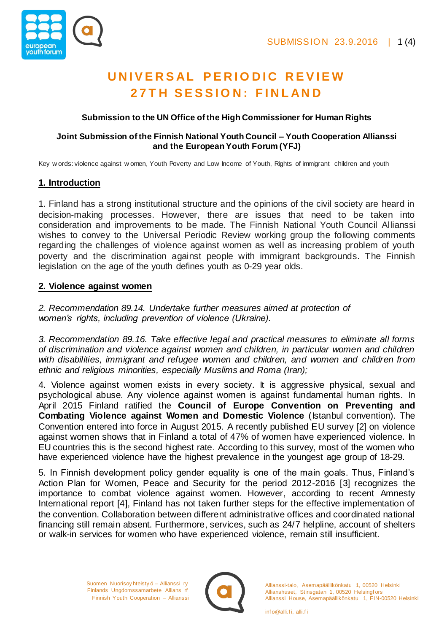

# **U N I V E R S AL P E R I O D I C R E V I E W 2 7 T H S E S S I O N : F I N L AN D**

### **Submission to the UN Office of the High Commissioner for Human Rights**

#### **Joint Submission of the Finnish National Youth Council – Youth Cooperation Allianssi and the European Youth Forum (YFJ)**

Key w ords: violence against w omen, Youth Poverty and Low Income of Youth, Rights of immigrant children and youth

# **1. Introduction**

1. Finland has a strong institutional structure and the opinions of the civil society are heard in decision-making processes. However, there are issues that need to be taken into consideration and improvements to be made. The Finnish National Youth Council Allianssi wishes to convey to the Universal Periodic Review working group the following comments regarding the challenges of violence against women as well as increasing problem of youth poverty and the discrimination against people with immigrant backgrounds. The Finnish legislation on the age of the youth defines youth as 0-29 year olds.

# **2. Violence against women**

*2. Recommendation 89.14. Undertake further measures aimed at protection of women's rights, including prevention of violence (Ukraine).*

*3. Recommendation 89.16. Take effective legal and practical measures to eliminate all forms of discrimination and violence against women and children, in particular women and children with disabilities, immigrant and refugee women and children, and women and children from ethnic and religious minorities, especially Muslims and Roma (Iran);*

4. Violence against women exists in every society. It is aggressive physical, sexual and psychological abuse. Any violence against women is against fundamental human rights. In April 2015 Finland ratified the **Council of Europe Convention on Preventing and Combating Violence against Women and Domestic Violence** (Istanbul convention). The Convention entered into force in August 2015. A recently published EU survey [2] on violence against women shows that in Finland a total of 47% of women have experienced violence. In EU countries this is the second highest rate. According to this survey, most of the women who have experienced violence have the highest prevalence in the youngest age group of 18-29.

5. In Finnish development policy gender equality is one of the main goals. Thus, Finland's Action Plan for Women, Peace and Security for the period 2012-2016 [3] recognizes the importance to combat violence against women. However, according to recent Amnesty International report [4], Finland has not taken further steps for the effective implementation of the convention. Collaboration between different administrative offices and coordinated national financing still remain absent. Furthermore, services, such as 24/7 helpline, account of shelters or walk-in services for women who have experienced violence, remain still insufficient.

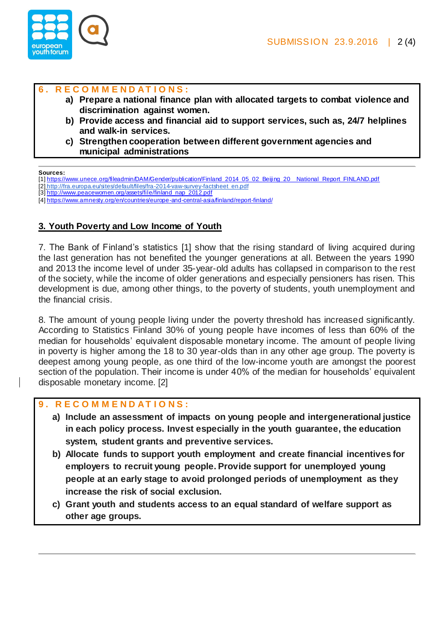

### **6 . R E C O M M E N D A T I O N S :**

- **a) Prepare a national finance plan with allocated targets to combat violence and discrimination against women.**
- **b) Provide access and financial aid to support services, such as, 24/7 helplines and walk-in services.**
- **c) Strengthen cooperation between different government agencies and municipal administrations**

#### **Sources:**

- [1] https://www.unece.org/fileadmin/DAM/Gender/publication/Finland\_2014\_05\_02\_Beijing\_20\_\_National\_Report\_FINLAND.pdf
- [2] http://fra.europa.eu/sites/default/files/fra-2014-vaw-survey-factsheet\_en.pdf [3] http://www.peacewomen.org/assets/file/finland\_nap\_2012.pdf
- [4] https://www.amnesty.org/en/countries/europe-and-central-asia/finland/report-finland/

# **3. Youth Poverty and Low Income of Youth**

7. The Bank of Finland's statistics [1] show that the rising standard of living acquired during the last generation has not benefited the younger generations at all. Between the years 1990 and 2013 the income level of under 35-year-old adults has collapsed in comparison to the rest of the society, while the income of older generations and especially pensioners has risen. This development is due, among other things, to the poverty of students, youth unemployment and the financial crisis.

8. The amount of young people living under the poverty threshold has increased significantly. According to Statistics Finland 30% of young people have incomes of less than 60% of the median for households' equivalent disposable monetary income. The amount of people living in poverty is higher among the 18 to 30 year-olds than in any other age group. The poverty is deepest among young people, as one third of the low-income youth are amongst the poorest section of the population. Their income is under 40% of the median for households' equivalent disposable monetary income. [2]

# **9 . R E C O M M E N D A T I O N S :**

- **a) Include an assessment of impacts on young people and intergenerational justice in each policy process. Invest especially in the youth guarantee, the education system, student grants and preventive services.**
- **b) Allocate funds to support youth employment and create financial incentives for employers to recruit young people. Provide support for unemployed young people at an early stage to avoid prolonged periods of unemployment as they increase the risk of social exclusion.**
- **c) Grant youth and students access to an equal standard of welfare support as other age groups.**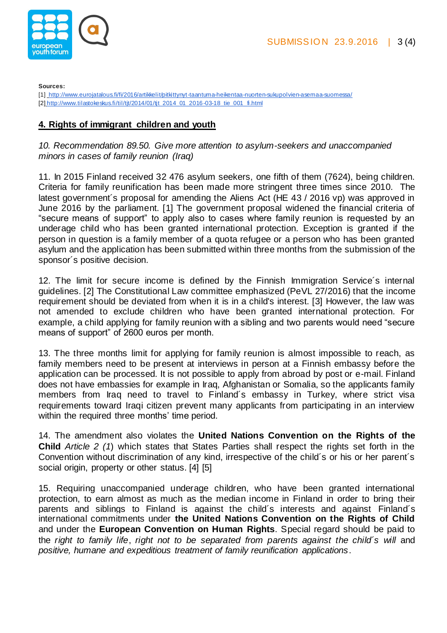

**Sources:** 

[1] http://www.eurojatalous.fi/fi/2016/artikkelit/pitkittynyt-taantuma-heikentaa-nuorten-sukupolvien-asemaa-suomessa/ [2] http://www.tilastokeskus.fi/til/tjt/2014/01/tjt\_2014\_01\_2016-03-18\_tie\_001\_fi.html

## **4. Rights of immigrant children and youth**

*10. Recommendation 89.50. Give more attention to asylum-seekers and unaccompanied minors in cases of family reunion (Iraq)*

11. In 2015 Finland received 32 476 asylum seekers, one fifth of them (7624), being children. Criteria for family reunification has been made more stringent three times since 2010. The latest government´s proposal for amending the Aliens Act (HE 43 / 2016 vp) was approved in June 2016 by the parliament. [1] The government proposal widened the financial criteria of "secure means of support" to apply also to cases where family reunion is requested by an underage child who has been granted international protection. Exception is granted if the person in question is a family member of a quota refugee or a person who has been granted asylum and the application has been submitted within three months from the submission of the sponsor´s positive decision.

12. The limit for secure income is defined by the Finnish Immigration Service´s internal guidelines. [2] The Constitutional Law committee emphasized (PeVL 27/2016) that the income requirement should be deviated from when it is in a child's interest. [3] However, the law was not amended to exclude children who have been granted international protection. For example, a child applying for family reunion with a sibling and two parents would need "secure means of support" of 2600 euros per month.

13. The three months limit for applying for family reunion is almost impossible to reach, as family members need to be present at interviews in person at a Finnish embassy before the application can be processed. It is not possible to apply from abroad by post or e-mail. Finland does not have embassies for example in Iraq, Afghanistan or Somalia, so the applicants family members from Iraq need to travel to Finland´s embassy in Turkey, where strict visa requirements toward Iraqi citizen prevent many applicants from participating in an interview within the required three months' time period.

14. The amendment also violates the **United Nations Convention on the Rights of the Child** *Article 2 (1*) which states that States Parties shall respect the rights set forth in the Convention without discrimination of any kind, irrespective of the child´s or his or her parent´s social origin, property or other status. [4] [5]

15. Requiring unaccompanied underage children, who have been granted international protection, to earn almost as much as the median income in Finland in order to bring their parents and siblings to Finland is against the child´s interests and against Finland´s international commitments under **the United Nations Convention on the Rights of Child** and under the **European Convention on Human Rights**. Special regard should be paid to the *right to family life*, *right not to be separated from parents against the child´s will* and *positive, humane and expeditious treatment of family reunification applications*.